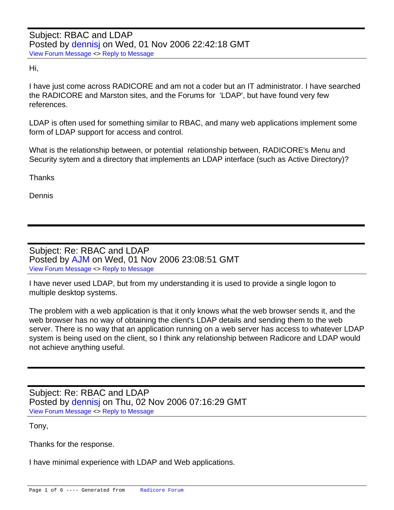Hi,

I have just come across RADICORE and am not a coder but an IT administrator. I have searched the RADICORE and Marston sites, and the Forums for 'LDAP', but have found very few references.

LDAP is often used for something similar to RBAC, and many web applications implement some form of LDAP support for access and control.

What is the relationship between, or potential relationship between, RADICORE's Menu and Security sytem and a directory that implements an LDAP interface (such as Active Directory)?

**Thanks** 

Dennis

Subject: Re: RBAC and LDAP Posted by [AJM](index.php?t=usrinfo&id=3) on Wed, 01 Nov 2006 23:08:51 GMT [View Forum Message](index.php?t=rview&th=115&goto=353#msg_353) <> [Reply to Message](index.php?t=post&reply_to=353)

I have never used LDAP, but from my understanding it is used to provide a single logon to multiple desktop systems.

The problem with a web application is that it only knows what the web browser sends it, and the web browser has no way of obtaining the client's LDAP details and sending them to the web server. There is no way that an application running on a web server has access to whatever LDAP system is being used on the client, so I think any relationship between Radicore and LDAP would not achieve anything useful.

Subject: Re: RBAC and LDAP Posted by [dennisj](index.php?t=usrinfo&id=61) on Thu, 02 Nov 2006 07:16:29 GMT [View Forum Message](index.php?t=rview&th=115&goto=354#msg_354) <> [Reply to Message](index.php?t=post&reply_to=354)

Tony,

Thanks for the response.

I have minimal experience with LDAP and Web applications.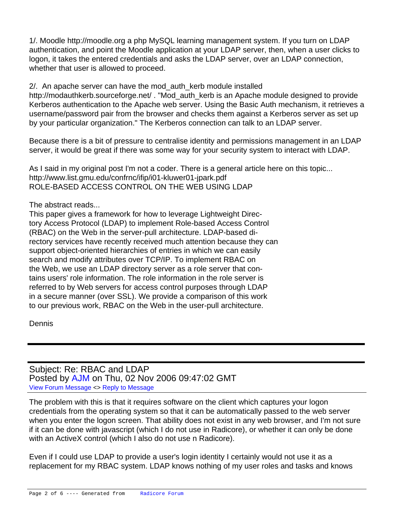1/. Moodle http://moodle.org a php MySQL learning management system. If you turn on LDAP authentication, and point the Moodle application at your LDAP server, then, when a user clicks to logon, it takes the entered credentials and asks the LDAP server, over an LDAP connection, whether that user is allowed to proceed.

2/. An apache server can have the mod auth kerb module installed http://modauthkerb.sourceforge.net/ . "Mod\_auth\_kerb is an Apache module designed to provide Kerberos authentication to the Apache web server. Using the Basic Auth mechanism, it retrieves a username/password pair from the browser and checks them against a Kerberos server as set up by your particular organization." The Kerberos connection can talk to an LDAP server.

Because there is a bit of pressure to centralise identity and permissions management in an LDAP server, it would be great if there was some way for your security system to interact with LDAP.

As I said in my original post I'm not a coder. There is a general article here on this topic... http://www.list.gmu.edu/confrnc/ifip/i01-kluwer01-jpark.pdf ROLE-BASED ACCESS CONTROL ON THE WEB USING LDAP

The abstract reads...

This paper gives a framework for how to leverage Lightweight Directory Access Protocol (LDAP) to implement Role-based Access Control (RBAC) on the Web in the server-pull architecture. LDAP-based directory services have recently received much attention because they can support object-oriented hierarchies of entries in which we can easily search and modify attributes over TCP/IP. To implement RBAC on the Web, we use an LDAP directory server as a role server that contains users' role information. The role information in the role server is referred to by Web servers for access control purposes through LDAP in a secure manner (over SSL). We provide a comparison of this work to our previous work, RBAC on the Web in the user-pull architecture.

Dennis

Subject: Re: RBAC and LDAP Posted by [AJM](index.php?t=usrinfo&id=3) on Thu, 02 Nov 2006 09:47:02 GMT [View Forum Message](index.php?t=rview&th=115&goto=355#msg_355) <> [Reply to Message](index.php?t=post&reply_to=355)

The problem with this is that it requires software on the client which captures your logon credentials from the operating system so that it can be automatically passed to the web server when you enter the logon screen. That ability does not exist in any web browser, and I'm not sure if it can be done with javascript (which I do not use in Radicore), or whether it can only be done with an ActiveX control (which I also do not use n Radicore).

Even if I could use LDAP to provide a user's login identity I certainly would not use it as a replacement for my RBAC system. LDAP knows nothing of my user roles and tasks and knows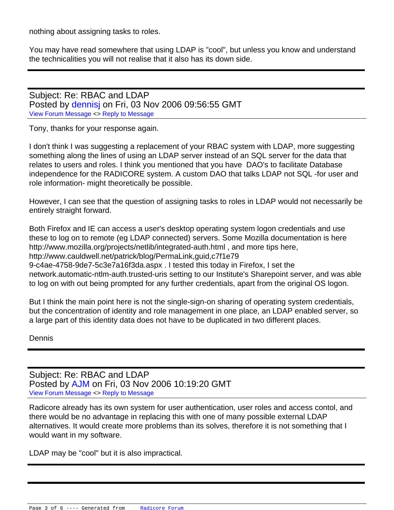nothing about assigning tasks to roles.

You may have read somewhere that using LDAP is "cool", but unless you know and understand the technicalities you will not realise that it also has its down side.

Subject: Re: RBAC and LDAP Posted by [dennisj](index.php?t=usrinfo&id=61) on Fri, 03 Nov 2006 09:56:55 GMT [View Forum Message](index.php?t=rview&th=115&goto=356#msg_356) <> [Reply to Message](index.php?t=post&reply_to=356)

Tony, thanks for your response again.

I don't think I was suggesting a replacement of your RBAC system with LDAP, more suggesting something along the lines of using an LDAP server instead of an SQL server for the data that relates to users and roles. I think you mentioned that you have DAO's to facilitate Database independence for the RADICORE system. A custom DAO that talks LDAP not SQL -for user and role information- might theoretically be possible.

However, I can see that the question of assigning tasks to roles in LDAP would not necessarily be entirely straight forward.

Both Firefox and IE can access a user's desktop operating system logon credentials and use these to log on to remote (eg LDAP connected) servers. Some Mozilla documentation is here http://www.mozilla.org/projects/netlib/integrated-auth.html , and more tips here, http://www.cauldwell.net/patrick/blog/PermaLink,guid,c7f1e79 9-c4ae-4758-9de7-5c3e7a16f3da.aspx . I tested this today in Firefox, I set the network.automatic-ntlm-auth.trusted-uris setting to our Institute's Sharepoint server, and was able to log on with out being prompted for any further credentials, apart from the original OS logon.

But I think the main point here is not the single-sign-on sharing of operating system credentials, but the concentration of identity and role management in one place, an LDAP enabled server, so a large part of this identity data does not have to be duplicated in two different places.

**Dennis** 

Subject: Re: RBAC and LDAP Posted by [AJM](index.php?t=usrinfo&id=3) on Fri, 03 Nov 2006 10:19:20 GMT [View Forum Message](index.php?t=rview&th=115&goto=357#msg_357) <> [Reply to Message](index.php?t=post&reply_to=357)

Radicore already has its own system for user authentication, user roles and access contol, and there would be no advantage in replacing this with one of many possible external LDAP alternatives. It would create more problems than its solves, therefore it is not something that I would want in my software.

LDAP may be "cool" but it is also impractical.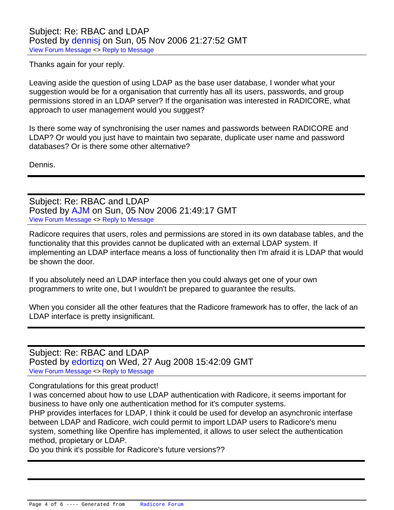Thanks again for your reply.

Leaving aside the question of using LDAP as the base user database, I wonder what your suggestion would be for a organisation that currently has all its users, passwords, and group permissions stored in an LDAP server? If the organisation was interested in RADICORE, what approach to user management would you suggest?

Is there some way of synchronising the user names and passwords between RADICORE and LDAP? Or would you just have to maintain two separate, duplicate user name and password databases? Or is there some other alternative?

Dennis.

Subject: Re: RBAC and LDAP Posted by [AJM](index.php?t=usrinfo&id=3) on Sun, 05 Nov 2006 21:49:17 GMT [View Forum Message](index.php?t=rview&th=115&goto=359#msg_359) <> [Reply to Message](index.php?t=post&reply_to=359)

Radicore requires that users, roles and permissions are stored in its own database tables, and the functionality that this provides cannot be duplicated with an external LDAP system. If implementing an LDAP interface means a loss of functionality then I'm afraid it is LDAP that would be shown the door.

If you absolutely need an LDAP interface then you could always get one of your own programmers to write one, but I wouldn't be prepared to guarantee the results.

When you consider all the other features that the Radicore framework has to offer, the lack of an LDAP interface is pretty insignificant.

Subject: Re: RBAC and LDAP Posted by [edortizq](index.php?t=usrinfo&id=161) on Wed, 27 Aug 2008 15:42:09 GMT [View Forum Message](index.php?t=rview&th=115&goto=1576#msg_1576) <> [Reply to Message](index.php?t=post&reply_to=1576)

Congratulations for this great product!

I was concerned about how to use LDAP authentication with Radicore, it seems important for business to have only one authentication method for it's computer systems.

PHP provides interfaces for LDAP, I think it could be used for develop an asynchronic interfase between LDAP and Radicore, wich could permit to import LDAP users to Radicore's menu system, something like Openfire has implemented, it allows to user select the authentication method, propietary or LDAP.

Do you think it's possible for Radicore's future versions??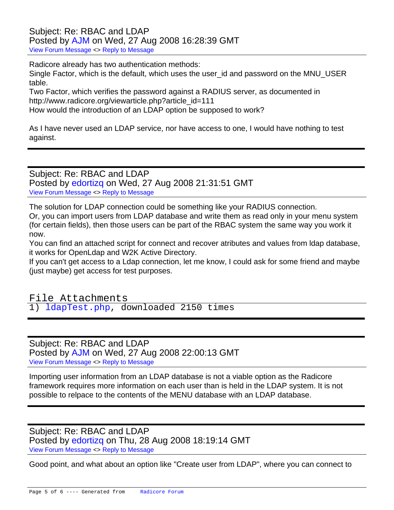## Subject: Re: RBAC and LDAP Posted by [AJM](index.php?t=usrinfo&id=3) on Wed, 27 Aug 2008 16:28:39 GMT [View Forum Message](index.php?t=rview&th=115&goto=1577#msg_1577) <> [Reply to Message](index.php?t=post&reply_to=1577)

Radicore already has two authentication methods:

Single Factor, which is the default, which uses the user\_id and password on the MNU\_USER table.

Two Factor, which verifies the password against a RADIUS server, as documented in http://www.radicore.org/viewarticle.php?article\_id=111 How would the introduction of an LDAP option be supposed to work?

As I have never used an LDAP service, nor have access to one, I would have nothing to test against.

Subject: Re: RBAC and LDAP Posted by [edortizq](index.php?t=usrinfo&id=161) on Wed, 27 Aug 2008 21:31:51 GMT [View Forum Message](index.php?t=rview&th=115&goto=1578#msg_1578) <> [Reply to Message](index.php?t=post&reply_to=1578)

The solution for LDAP connection could be something like your RADIUS connection. Or, you can import users from LDAP database and write them as read only in your menu system (for certain fields), then those users can be part of the RBAC system the same way you work it now.

You can find an attached script for connect and recover atributes and values from ldap database, it works for OpenLdap and W2K Active Directory.

If you can't get access to a Ldap connection, let me know, I could ask for some friend and maybe (just maybe) get access for test purposes.

File Attachments 1) [ldapTest.php](index.php?t=getfile&id=141), downloaded 2150 times

Subject: Re: RBAC and LDAP Posted by [AJM](index.php?t=usrinfo&id=3) on Wed, 27 Aug 2008 22:00:13 GMT [View Forum Message](index.php?t=rview&th=115&goto=1579#msg_1579) <> [Reply to Message](index.php?t=post&reply_to=1579)

Importing user information from an LDAP database is not a viable option as the Radicore framework requires more information on each user than is held in the LDAP system. It is not possible to relpace to the contents of the MENU database with an LDAP database.

Subject: Re: RBAC and LDAP Posted by [edortizq](index.php?t=usrinfo&id=161) on Thu, 28 Aug 2008 18:19:14 GMT [View Forum Message](index.php?t=rview&th=115&goto=1585#msg_1585) <> [Reply to Message](index.php?t=post&reply_to=1585)

Good point, and what about an option like "Create user from LDAP", where you can connect to